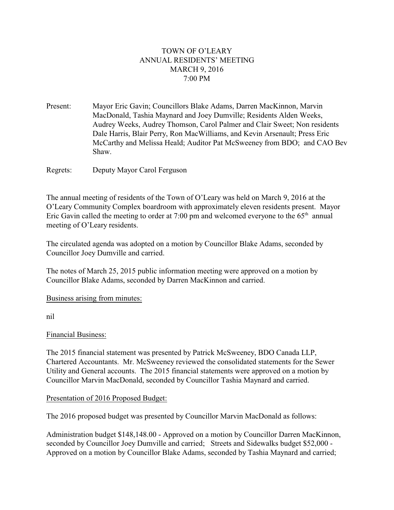# TOWN OF O'LEARY ANNUAL RESIDENTS' MEETING MARCH 9, 2016 7:00 PM

Present: Mayor Eric Gavin; Councillors Blake Adams, Darren MacKinnon, Marvin MacDonald, Tashia Maynard and Joey Dumville; Residents Alden Weeks, Audrey Weeks, Audrey Thomson, Carol Palmer and Clair Sweet; Non residents Dale Harris, Blair Perry, Ron MacWilliams, and Kevin Arsenault; Press Eric McCarthy and Melissa Heald; Auditor Pat McSweeney from BDO; and CAO Bev Shaw.

Regrets: Deputy Mayor Carol Ferguson

The annual meeting of residents of the Town of O'Leary was held on March 9, 2016 at the O'Leary Community Complex boardroom with approximately eleven residents present. Mayor Eric Gavin called the meeting to order at 7:00 pm and welcomed everyone to the  $65<sup>th</sup>$  annual meeting of O'Leary residents.

The circulated agenda was adopted on a motion by Councillor Blake Adams, seconded by Councillor Joey Dumville and carried.

The notes of March 25, 2015 public information meeting were approved on a motion by Councillor Blake Adams, seconded by Darren MacKinnon and carried.

Business arising from minutes:

nil

## Financial Business:

The 2015 financial statement was presented by Patrick McSweeney, BDO Canada LLP, Chartered Accountants. Mr. McSweeney reviewed the consolidated statements for the Sewer Utility and General accounts. The 2015 financial statements were approved on a motion by Councillor Marvin MacDonald, seconded by Councillor Tashia Maynard and carried.

## Presentation of 2016 Proposed Budget:

The 2016 proposed budget was presented by Councillor Marvin MacDonald as follows:

Administration budget \$148,148.00 - Approved on a motion by Councillor Darren MacKinnon, seconded by Councillor Joey Dumville and carried; Streets and Sidewalks budget \$52,000 - Approved on a motion by Councillor Blake Adams, seconded by Tashia Maynard and carried;